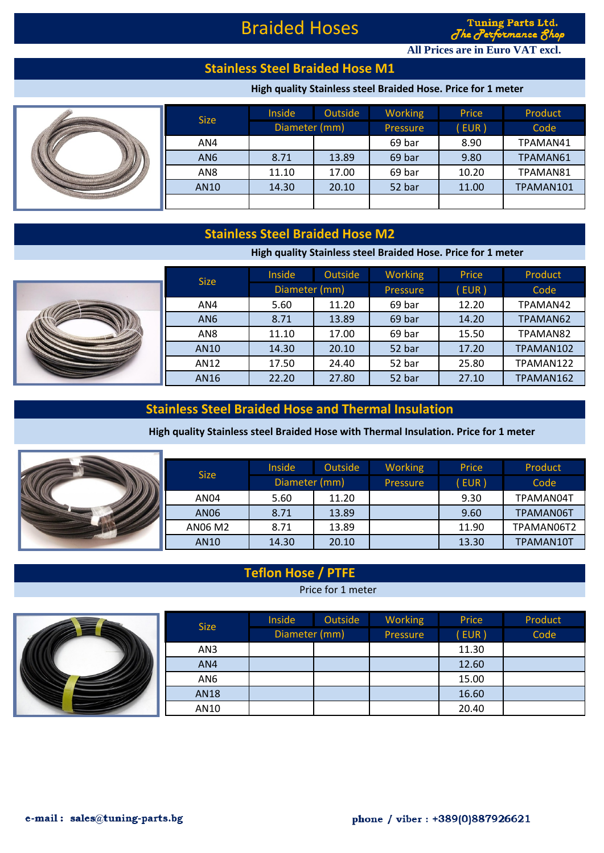# Braided Hoses

**Tuning Parts Ltd.** nance 1  $d$  he  $d$ 

**All Prices are in Euro VAT excl.**

### **Stainless Steel Braided Hose M1**

#### **High quality Stainless steel Braided Hose. Price for 1 meter**

|  | <b>Size</b>     | Inside        | Outside | <b>Working</b> | Price | Product   |
|--|-----------------|---------------|---------|----------------|-------|-----------|
|  |                 | Diameter (mm) |         | Pressure       | EUR)  | Code      |
|  | AN4             |               |         | 69 bar         | 8.90  | TPAMAN41  |
|  | AN <sub>6</sub> | 8.71          | 13.89   | 69 bar         | 9.80  | TPAMAN61  |
|  | AN <sub>8</sub> | 11.10         | 17.00   | 69 bar         | 10.20 | TPAMAN81  |
|  | AN10            | 14.30         | 20.10   | 52 bar         | 11.00 | TPAMAN101 |
|  |                 |               |         |                |       |           |

# **Stainless Steel Braided Hose M2**

**High quality Stainless steel Braided Hose. Price for 1 meter**

| <b>Size</b>     | <b>Inside</b> | Outside | <b>Working</b> | Price | Product   |
|-----------------|---------------|---------|----------------|-------|-----------|
|                 | Diameter (mm) |         | Pressure       | EUR)  | Code      |
| AN4             | 5.60          | 11.20   | 69 bar         | 12.20 | TPAMAN42  |
| AN <sub>6</sub> | 8.71          | 13.89   | 69 bar         | 14.20 | TPAMAN62  |
| AN <sub>8</sub> | 11.10         | 17.00   | 69 bar         | 15.50 | TPAMAN82  |
| AN10            | 14.30         | 20.10   | 52 bar         | 17.20 | TPAMAN102 |
| AN12            | 17.50         | 24.40   | 52 bar         | 25.80 | TPAMAN122 |
| AN16            | 22.20         | 27.80   | 52 bar         | 27.10 | TPAMAN162 |

## **Stainless Steel Braided Hose and Thermal Insulation**

#### **High quality Stainless steel Braided Hose with Thermal Insulation. Price for 1 meter**

|  | Size    | Inside                | Outside | <b>Working</b> | Price         | Product           |
|--|---------|-----------------------|---------|----------------|---------------|-------------------|
|  | AN04    | Diameter (mm)<br>5.60 | 11.20   | Pressure       | (EUR)<br>9.30 | Code<br>TPAMAN04T |
|  | AN06    | 8.71                  | 13.89   |                | 9.60          | TPAMAN06T         |
|  | AN06 M2 | 8.71                  | 13.89   |                | 11.90         | TPAMAN06T2        |
|  | AN10    | 14.30                 | 20.10   |                | 13.30         | TPAMAN10T         |

#### **Teflon Hose / PTFE**

Price for 1 meter



|  | <b>Size</b> | Inside        | Outside | Working  | Price | Product |
|--|-------------|---------------|---------|----------|-------|---------|
|  |             | Diameter (mm) |         | Pressure | (EUR) | Code    |
|  | AN3         |               |         |          | 11.30 |         |
|  | AN4         |               |         |          | 12.60 |         |
|  | AN6         |               |         |          | 15.00 |         |
|  | <b>AN18</b> |               |         |          | 16.60 |         |
|  | AN10        |               |         |          | 20.40 |         |